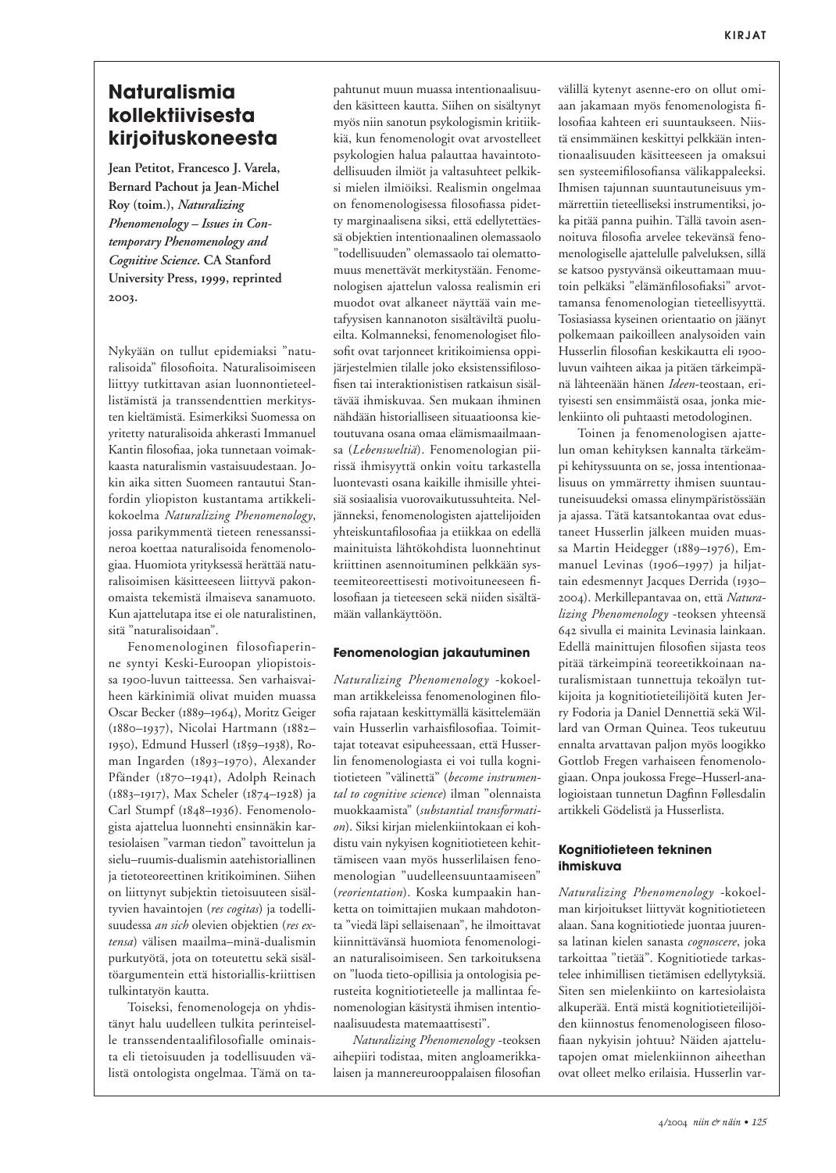# **Naturalismia** kollektiivisesta kirjoituskoneesta

Jean Petitot, Francesco I. Varela, Bernard Pachout ja Jean-Michel Roy (toim.), Naturalizing Phenomenology - Issues in Contemporary Phenomenology and Cognitive Science. CA Stanford University Press, 1999, reprinted 2003.

Nykyään on tullut epidemiaksi "naturalisoida" filosofioita. Naturalisoimiseen liittyy tutkittavan asian luonnontieteellistämistä ja transsendenttien merkitysten kieltämistä. Esimerkiksi Suomessa on vritetty naturalisoida ahkerasti Immanuel Kantin filosofiaa, joka tunnetaan voimakkaasta naturalismin vastaisuudestaan. Jokin aika sitten Suomeen rantautui Stanfordin yliopiston kustantama artikkelikokoelma Naturalizing Phenomenology, jossa parikymmentä tieteen renessanssineroa koettaa naturalisoida fenomenologiaa. Huomiota yrityksessä herättää naturalisoimisen käsitteeseen liittyvä pakonomaista tekemistä ilmaiseva sanamuoto. Kun ajattelutapa itse ei ole naturalistinen, sitä "naturalisoidaan".

Fenomenologinen filosofiaperinne syntyi Keski-Euroopan yliopistoissa 1900-luvun taitteessa. Sen varhaisvaiheen kärkinimiä olivat muiden muassa Oscar Becker (1889-1964), Moritz Geiger (1880-1937), Nicolai Hartmann (1882-1950), Edmund Husserl (1859-1938), Roman Ingarden (1893-1970), Alexander Pfänder (1870-1941), Adolph Reinach (1883-1917), Max Scheler (1874-1928) ja Carl Stumpf (1848-1936). Fenomenologista ajattelua luonnehti ensinnäkin kartesiolaisen "varman tiedon" tavoittelun ja sielu-ruumis-dualismin aatehistoriallinen ja tietoteoreettinen kritikoiminen. Siihen on liittynyt subjektin tietoisuuteen sisältyvien havaintojen (res cogitas) ja todellisuudessa an sich olevien objektien (res extensa) välisen maailma-minä-dualismin purkutyötä, jota on toteutettu sekä sisältöargumentein että historiallis-kriittisen tulkintatyön kautta.

Toiseksi, fenomenologeja on yhdistänyt halu uudelleen tulkita perinteiselle transsendentaalifilosofialle ominaista eli tietoisuuden ja todellisuuden välistä ontologista ongelmaa. Tämä on tapahtunut muun muassa intentionaalisuuden käsitteen kautta. Siihen on sisältynyt myös niin sanotun psykologismin kritiikkiä, kun fenomenologit ovat arvostelleet psykologien halua palauttaa havaintotodellisuuden ilmiöt ja valtasuhteet pelkiksi mielen ilmiöiksi. Realismin ongelmaa on fenomenologisessa filosofiassa pidetty marginaalisena siksi, että edellytettäessä objektien intentionaalinen olemassaolo "todellisuuden" olemassaolo tai olemattomuus menettävät merkitystään. Fenomenologisen ajattelun valossa realismin eri muodot ovat alkaneet näyttää vain metafyysisen kannanoton sisältäviltä puolueilta. Kolmanneksi, fenomenologiset filosofit ovat tarjonneet kritikoimiensa oppijärjestelmien tilalle joko eksistenssifilosofisen tai interaktionistisen ratkaisun sisältävää ihmiskuvaa. Sen mukaan ihminen nähdään historialliseen situaatioonsa kietoutuvana osana omaa elämismaailmaansa (Lebensweltiä). Fenomenologian piirissä ihmisyyttä onkin voitu tarkastella luontevasti osana kaikille ihmisille yhteisiä sosiaalisia vuorovaikutussuhteita. Neljänneksi, fenomenologisten ajattelijoiden yhteiskuntafilosofiaa ja etiikkaa on edellä mainituista lähtökohdista luonnehtinut kriittinen asennoituminen pelkkään systeemiteoreettisesti motivoituneeseen filosofiaan ja tieteeseen sekä niiden sisältämään vallankäyttöön.

## Fenomenologian jakautuminen

Naturalizing Phenomenology -kokoelman artikkeleissa fenomenologinen filosofia rajataan keskittymällä käsittelemään vain Husserlin varhaisfilosofiaa. Toimittajat toteavat esipuheessaan, että Husserlin fenomenologiasta ei voi tulla kognitiotieteen "välinettä" (become instrumental to cognitive science) ilman "olennaista muokkaamista" (substantial transformation). Siksi kirjan mielenkiintokaan ei kohdistu vain nykyisen kognitiotieteen kehittämiseen vaan myös husserlilaisen fenomenologian "uudelleensuuntaamiseen" (reorientation). Koska kumpaakin hanketta on toimittajien mukaan mahdotonta "viedä läpi sellaisenaan", he ilmoittavat kiinnittävänsä huomiota fenomenologian naturalisoimiseen. Sen tarkoituksena on "luoda tieto-opillisia ja ontologisia perusteita kognitiotieteelle ja mallintaa fenomenologian käsitystä ihmisen intentionaalisuudesta matemaattisesti".

Naturalizing Phenomenology -teoksen aihepiiri todistaa, miten angloamerikkalaisen ja mannereurooppalaisen filosofian

välillä kytenyt asenne-ero on ollut omiaan jakamaan myös fenomenologista filosofiaa kahteen eri suuntaukseen. Niistä ensimmäinen keskittyi pelkkään intentionaalisuuden käsitteeseen ja omaksui sen systeemifilosofiansa välikappaleeksi. Ihmisen tajunnan suuntautuneisuus ymmärrettiin tieteelliseksi instrumentiksi, joka pitää panna puihin. Tällä tavoin asennoituva filosofia arvelee tekevänsä fenomenologiselle ajattelulle palveluksen, sillä se katsoo pystyvänsä oikeuttamaan muutoin pelkäksi "elämänfilosofiaksi" arvottamansa fenomenologian tieteellisyyttä. Tosiasiassa kyseinen orientaatio on jäänyt polkemaan paikoilleen analysoiden vain Husserlin filosofian keskikautta eli 1900luvun vaihteen aikaa ja pitäen tärkeimpänä lähteenään hänen Ideen-teostaan, erityisesti sen ensimmäistä osaa, jonka mielenkiinto oli puhtaasti metodologinen.

Toinen ja fenomenologisen ajattelun oman kehityksen kannalta tärkeämpi kehityssuunta on se, jossa intentionaalisuus on ymmärretty ihmisen suuntautuneisuudeksi omassa elinympäristössään ja ajassa. Tätä katsantokantaa ovat edustaneet Husserlin jälkeen muiden muassa Martin Heidegger (1889-1976), Emmanuel Levinas (1906-1997) ja hiljattain edesmennyt Jacques Derrida (1930-2004). Merkillepantavaa on, että Naturalizing Phenomenology -teoksen yhteensä 642 sivulla ei mainita Levinasia lainkaan. Edellä mainittujen filosofien sijasta teos pitää tärkeimpinä teoreetikkoinaan naturalismistaan tunnettuja tekoälyn tutkijoita ja kognitiotieteilijöitä kuten Jerry Fodoria ja Daniel Dennettiä sekä Willard van Orman Quinea. Teos tukeutuu ennalta arvattavan paljon myös loogikko Gottlob Fregen varhaiseen fenomenologiaan. Onpa joukossa Frege-Husserl-analogioistaan tunnetun Dagfinn Føllesdalin artikkeli Gödelistä ja Husserlista.

## Kognitiotieteen tekninen ihmiskuva

Naturalizing Phenomenology -kokoelman kirjoitukset liittyvät kognitiotieteen alaan. Sana kognitiotiede juontaa juurensa latinan kielen sanasta cognoscere, joka tarkoittaa "tietää". Kognitiotiede tarkastelee inhimillisen tietämisen edellytyksiä. Siten sen mielenkiinto on kartesiolaista alkuperää. Entä mistä kognitiotieteilijöiden kiinnostus fenomenologiseen filosofiaan nykyisin johtuu? Näiden ajattelutapojen omat mielenkiinnon aiheethan ovat olleet melko erilaisia. Husserlin var